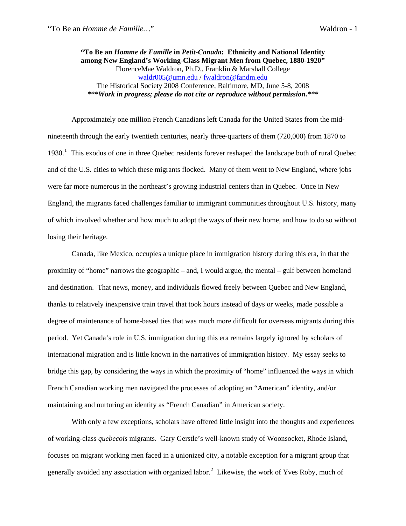**"To Be an** *Homme de Famille* **in** *Petit-Canada***: Ethnicity and National Identity among New England's Working-Class Migrant Men from Quebec, 1880-1920"**  FlorenceMae Waldron, Ph.D., Franklin & Marshall College [waldr005@umn.edu](mailto:waldr005@umn.edu) / [fwaldron@fandm.edu](mailto:fwaldron@fandm.edu) The Historical Society 2008 Conference, Baltimore, MD, June 5-8, 2008 *\*\*\*Work in progress; please do not cite or reproduce without permission.\*\*\** 

 Approximately one million French Canadians left Canada for the United States from the midnineteenth through the early twentieth centuries, nearly three-quarters of them (720,000) from 1870 to [1](#page-12-0)930.<sup>1</sup> This exodus of one in three Quebec residents forever reshaped the landscape both of rural Quebec and of the U.S. cities to which these migrants flocked. Many of them went to New England, where jobs were far more numerous in the northeast's growing industrial centers than in Quebec. Once in New England, the migrants faced challenges familiar to immigrant communities throughout U.S. history, many of which involved whether and how much to adopt the ways of their new home, and how to do so without losing their heritage.

Canada, like Mexico, occupies a unique place in immigration history during this era, in that the proximity of "home" narrows the geographic – and, I would argue, the mental – gulf between homeland and destination. That news, money, and individuals flowed freely between Quebec and New England, thanks to relatively inexpensive train travel that took hours instead of days or weeks, made possible a degree of maintenance of home-based ties that was much more difficult for overseas migrants during this period. Yet Canada's role in U.S. immigration during this era remains largely ignored by scholars of international migration and is little known in the narratives of immigration history. My essay seeks to bridge this gap, by considering the ways in which the proximity of "home" influenced the ways in which French Canadian working men navigated the processes of adopting an "American" identity, and/or maintaining and nurturing an identity as "French Canadian" in American society.

With only a few exceptions, scholars have offered little insight into the thoughts and experiences of working-class *quebecois* migrants. Gary Gerstle's well-known study of Woonsocket, Rhode Island, focuses on migrant working men faced in a unionized city, a notable exception for a migrant group that generally avoided any association with organized labor.<sup>[2](#page-12-1)</sup> Likewise, the work of Yves Roby, much of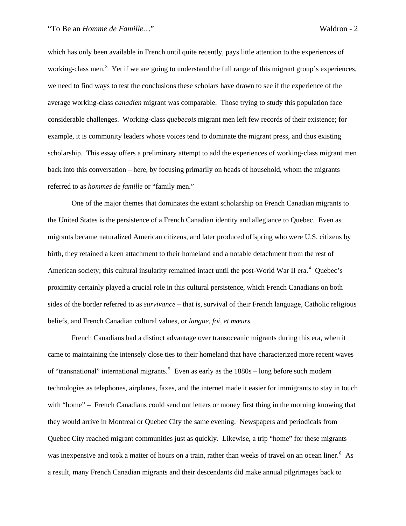which has only been available in French until quite recently, pays little attention to the experiences of working-class men.<sup>[3](#page-12-1)</sup> Yet if we are going to understand the full range of this migrant group's experiences, we need to find ways to test the conclusions these scholars have drawn to see if the experience of the average working-class *canadien* migrant was comparable. Those trying to study this population face considerable challenges. Working-class *quebecois* migrant men left few records of their existence; for example, it is community leaders whose voices tend to dominate the migrant press, and thus existing scholarship. This essay offers a preliminary attempt to add the experiences of working-class migrant men back into this conversation – here, by focusing primarily on heads of household, whom the migrants referred to as *hommes de famille* or "family men."

One of the major themes that dominates the extant scholarship on French Canadian migrants to the United States is the persistence of a French Canadian identity and allegiance to Quebec. Even as migrants became naturalized American citizens, and later produced offspring who were U.S. citizens by birth, they retained a keen attachment to their homeland and a notable detachment from the rest of American society; this cultural insularity remained intact until the post-World War II era.<sup>[4](#page-12-1)</sup> Quebec's proximity certainly played a crucial role in this cultural persistence, which French Canadians on both sides of the border referred to as *survivance* – that is, survival of their French language, Catholic religious beliefs, and French Canadian cultural values, or *langue, foi, et mœurs.*

French Canadians had a distinct advantage over transoceanic migrants during this era, when it came to maintaining the intensely close ties to their homeland that have characterized more recent waves of "transnational" international migrants.<sup>[5](#page-12-1)</sup> Even as early as the  $1880s - long$  before such modern technologies as telephones, airplanes, faxes, and the internet made it easier for immigrants to stay in touch with "home" – French Canadians could send out letters or money first thing in the morning knowing that they would arrive in Montreal or Quebec City the same evening. Newspapers and periodicals from Quebec City reached migrant communities just as quickly. Likewise, a trip "home" for these migrants was inexpensive and took a matter of hours on a train, rather than weeks of travel on an ocean liner.<sup>[6](#page-12-1)</sup> As a result, many French Canadian migrants and their descendants did make annual pilgrimages back to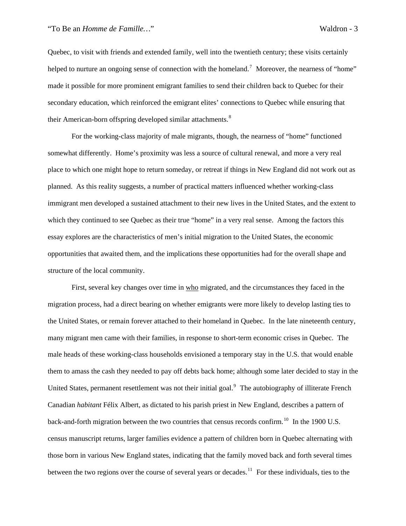Quebec, to visit with friends and extended family, well into the twentieth century; these visits certainly helped to nurture an ongoing sense of connection with the homeland.<sup>[7](#page-12-1)</sup> Moreover, the nearness of "home" made it possible for more prominent emigrant families to send their children back to Quebec for their secondary education, which reinforced the emigrant elites' connections to Quebec while ensuring that their American-born offspring developed similar attachments.<sup>[8](#page-12-1)</sup>

For the working-class majority of male migrants, though, the nearness of "home" functioned somewhat differently. Home's proximity was less a source of cultural renewal, and more a very real place to which one might hope to return someday, or retreat if things in New England did not work out as planned. As this reality suggests, a number of practical matters influenced whether working-class immigrant men developed a sustained attachment to their new lives in the United States, and the extent to which they continued to see Quebec as their true "home" in a very real sense. Among the factors this essay explores are the characteristics of men's initial migration to the United States, the economic opportunities that awaited them, and the implications these opportunities had for the overall shape and structure of the local community.

 First, several key changes over time in who migrated, and the circumstances they faced in the migration process, had a direct bearing on whether emigrants were more likely to develop lasting ties to the United States, or remain forever attached to their homeland in Quebec. In the late nineteenth century, many migrant men came with their families, in response to short-term economic crises in Quebec. The male heads of these working-class households envisioned a temporary stay in the U.S. that would enable them to amass the cash they needed to pay off debts back home; although some later decided to stay in the United States, permanent resettlement was not their initial goal.<sup>[9](#page-12-1)</sup> The autobiography of illiterate French Canadian *habitant* Félix Albert, as dictated to his parish priest in New England, describes a pattern of back-and-forth migration between the two countries that census records confirm.<sup>[10](#page-12-1)</sup> In the 1900 U.S. census manuscript returns, larger families evidence a pattern of children born in Quebec alternating with those born in various New England states, indicating that the family moved back and forth several times between the two regions over the course of several years or decades.<sup>[11](#page-12-1)</sup> For these individuals, ties to the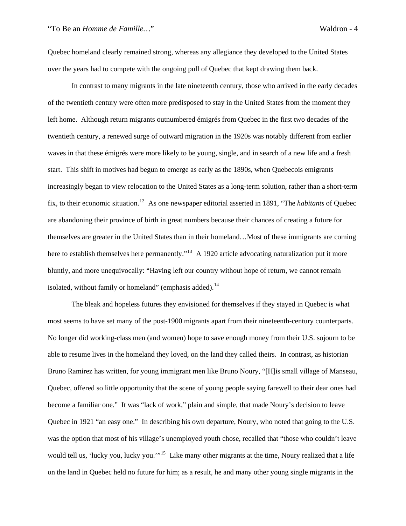Quebec homeland clearly remained strong, whereas any allegiance they developed to the United States over the years had to compete with the ongoing pull of Quebec that kept drawing them back.

In contrast to many migrants in the late nineteenth century, those who arrived in the early decades of the twentieth century were often more predisposed to stay in the United States from the moment they left home. Although return migrants outnumbered émigrés from Quebec in the first two decades of the twentieth century, a renewed surge of outward migration in the 1920s was notably different from earlier waves in that these émigrés were more likely to be young, single, and in search of a new life and a fresh start. This shift in motives had begun to emerge as early as the 1890s, when Quebecois emigrants increasingly began to view relocation to the United States as a long-term solution, rather than a short-term fix, to their economic situation.[12](#page-12-1) As one newspaper editorial asserted in 1891, "The *habitants* of Quebec are abandoning their province of birth in great numbers because their chances of creating a future for themselves are greater in the United States than in their homeland…Most of these immigrants are coming here to establish themselves here permanently."<sup>[13](#page-12-1)</sup> A 1920 article advocating naturalization put it more bluntly, and more unequivocally: "Having left our country without hope of return, we cannot remain isolated, without family or homeland" (emphasis added).<sup>[14](#page-12-1)</sup>

The bleak and hopeless futures they envisioned for themselves if they stayed in Quebec is what most seems to have set many of the post-1900 migrants apart from their nineteenth-century counterparts. No longer did working-class men (and women) hope to save enough money from their U.S. sojourn to be able to resume lives in the homeland they loved, on the land they called theirs. In contrast, as historian Bruno Ramirez has written, for young immigrant men like Bruno Noury, "[H]is small village of Manseau, Quebec, offered so little opportunity that the scene of young people saying farewell to their dear ones had become a familiar one." It was "lack of work," plain and simple, that made Noury's decision to leave Quebec in 1921 "an easy one." In describing his own departure, Noury, who noted that going to the U.S. was the option that most of his village's unemployed youth chose, recalled that "those who couldn't leave would tell us, 'lucky you, lucky you.'<sup>"<sup>[15](#page-12-1)</sup> Like many other migrants at the time, Noury realized that a life</sup> on the land in Quebec held no future for him; as a result, he and many other young single migrants in the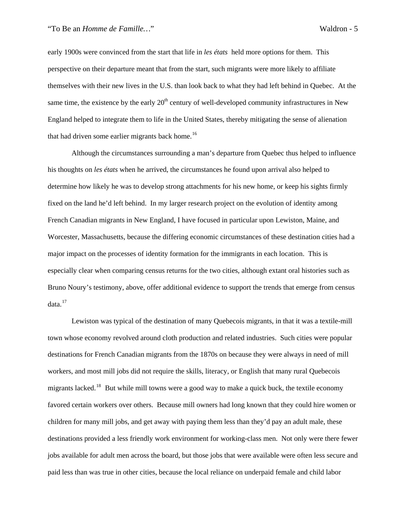early 1900s were convinced from the start that life in *les états* held more options for them. This perspective on their departure meant that from the start, such migrants were more likely to affiliate themselves with their new lives in the U.S. than look back to what they had left behind in Quebec. At the same time, the existence by the early  $20<sup>th</sup>$  century of well-developed community infrastructures in New England helped to integrate them to life in the United States, thereby mitigating the sense of alienation that had driven some earlier migrants back home.<sup>[16](#page-12-1)</sup>

Although the circumstances surrounding a man's departure from Quebec thus helped to influence his thoughts on *les états* when he arrived, the circumstances he found upon arrival also helped to determine how likely he was to develop strong attachments for his new home, or keep his sights firmly fixed on the land he'd left behind. In my larger research project on the evolution of identity among French Canadian migrants in New England, I have focused in particular upon Lewiston, Maine, and Worcester, Massachusetts, because the differing economic circumstances of these destination cities had a major impact on the processes of identity formation for the immigrants in each location. This is especially clear when comparing census returns for the two cities, although extant oral histories such as Bruno Noury's testimony, above, offer additional evidence to support the trends that emerge from census data.[17](#page-12-1)

Lewiston was typical of the destination of many Quebecois migrants, in that it was a textile-mill town whose economy revolved around cloth production and related industries. Such cities were popular destinations for French Canadian migrants from the 1870s on because they were always in need of mill workers, and most mill jobs did not require the skills, literacy, or English that many rural Quebecois migrants lacked.<sup>[18](#page-12-1)</sup> But while mill towns were a good way to make a quick buck, the textile economy favored certain workers over others. Because mill owners had long known that they could hire women or children for many mill jobs, and get away with paying them less than they'd pay an adult male, these destinations provided a less friendly work environment for working-class men. Not only were there fewer jobs available for adult men across the board, but those jobs that were available were often less secure and paid less than was true in other cities, because the local reliance on underpaid female and child labor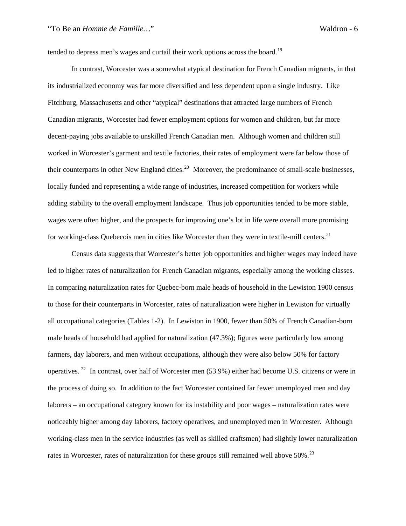tended to depress men's wages and curtail their work options across the board.<sup>[19](#page-12-1)</sup>

In contrast, Worcester was a somewhat atypical destination for French Canadian migrants, in that its industrialized economy was far more diversified and less dependent upon a single industry. Like Fitchburg, Massachusetts and other "atypical" destinations that attracted large numbers of French Canadian migrants, Worcester had fewer employment options for women and children, but far more decent-paying jobs available to unskilled French Canadian men. Although women and children still worked in Worcester's garment and textile factories, their rates of employment were far below those of their counterparts in other New England cities.<sup>[20](#page-12-1)</sup> Moreover, the predominance of small-scale businesses, locally funded and representing a wide range of industries, increased competition for workers while adding stability to the overall employment landscape. Thus job opportunities tended to be more stable, wages were often higher, and the prospects for improving one's lot in life were overall more promising for working-class Quebecois men in cities like Worcester than they were in textile-mill centers.<sup>[21](#page-12-1)</sup>

 Census data suggests that Worcester's better job opportunities and higher wages may indeed have led to higher rates of naturalization for French Canadian migrants, especially among the working classes. In comparing naturalization rates for Quebec-born male heads of household in the Lewiston 1900 census to those for their counterparts in Worcester, rates of naturalization were higher in Lewiston for virtually all occupational categories (Tables 1-2). In Lewiston in 1900, fewer than 50% of French Canadian-born male heads of household had applied for naturalization (47.3%); figures were particularly low among farmers, day laborers, and men without occupations, although they were also below 50% for factory operatives. [22](#page-12-1) In contrast, over half of Worcester men (53.9%) either had become U.S. citizens or were in the process of doing so. In addition to the fact Worcester contained far fewer unemployed men and day laborers – an occupational category known for its instability and poor wages – naturalization rates were noticeably higher among day laborers, factory operatives, and unemployed men in Worcester. Although working-class men in the service industries (as well as skilled craftsmen) had slightly lower naturalization rates in Worcester, rates of naturalization for these groups still remained well above  $50\%$ <sup>[23](#page-12-1)</sup>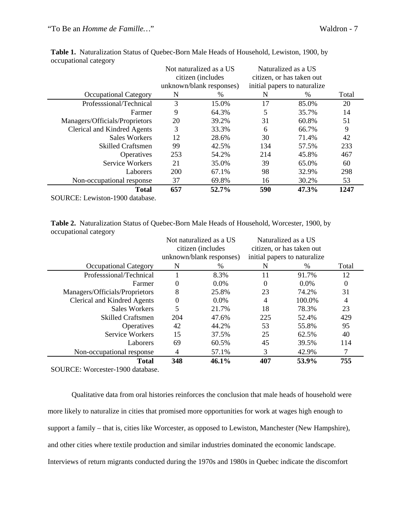|                                        | Not naturalized as a US  |                   | Naturalized as a US           |               |       |
|----------------------------------------|--------------------------|-------------------|-------------------------------|---------------|-------|
|                                        |                          | citizen (includes | citizen, or has taken out     |               |       |
|                                        | unknown/blank responses) |                   | initial papers to naturalize. |               |       |
| <b>Occupational Category</b>           | N                        | $\%$              | N                             | $\frac{0}{0}$ | Total |
| Professsional/Technical                | 3                        | 15.0%             | 17                            | 85.0%         | 20    |
| Farmer                                 | 9                        | 64.3%             | 5                             | 35.7%         | 14    |
| Managers/Officials/Proprietors         | 20                       | 39.2%             | 31                            | 60.8%         | 51    |
| Clerical and Kindred Agents            | 3                        | 33.3%             | 6                             | 66.7%         | 9     |
| <b>Sales Workers</b>                   | 12                       | 28.6%             | 30                            | 71.4%         | 42    |
| <b>Skilled Craftsmen</b>               | 99                       | 42.5%             | 134                           | 57.5%         | 233   |
| Operatives                             | 253                      | 54.2%             | 214                           | 45.8%         | 467   |
| Service Workers                        | 21                       | 35.0%             | 39                            | 65.0%         | 60    |
| Laborers                               | 200                      | 67.1%             | 98                            | 32.9%         | 298   |
| Non-occupational response              | 37                       | 69.8%             | 16                            | 30.2%         | 53    |
| <b>Total</b>                           | 657                      | 52.7%             | 590                           | 47.3%         | 1247  |
| $0.011DCD. I = 1.42.4$ $1.000.1 + 1.4$ |                          |                   |                               |               |       |

**Table 1.** Naturalization Status of Quebec-Born Male Heads of Household, Lewiston, 1900, by occupational category

SOURCE: Lewiston-1900 database.

**Table 2.** Naturalization Status of Quebec-Born Male Heads of Household, Worcester, 1900, by occupational category

|                                | Not naturalized as a US                       |         | Naturalized as a US           |         |          |
|--------------------------------|-----------------------------------------------|---------|-------------------------------|---------|----------|
|                                | citizen (includes<br>unknown/blank responses) |         | citizen, or has taken out     |         |          |
|                                |                                               |         | initial papers to naturalize. |         |          |
| <b>Occupational Category</b>   | N                                             | %       | N                             | $\%$    | Total    |
| Professsional/Technical        |                                               | 8.3%    | 11                            | 91.7%   | 12       |
| Farmer                         | $\theta$                                      | 0.0%    | $\theta$                      | $0.0\%$ | $\Omega$ |
| Managers/Officials/Proprietors | 8                                             | 25.8%   | 23                            | 74.2%   | 31       |
| Clerical and Kindred Agents    | $\boldsymbol{0}$                              | $0.0\%$ | 4                             | 100.0%  | 4        |
| <b>Sales Workers</b>           | 5                                             | 21.7%   | 18                            | 78.3%   | 23       |
| <b>Skilled Craftsmen</b>       | 204                                           | 47.6%   | 225                           | 52.4%   | 429      |
| Operatives                     | 42                                            | 44.2%   | 53                            | 55.8%   | 95       |
| Service Workers                | 15                                            | 37.5%   | 25                            | 62.5%   | 40       |
| Laborers                       | 69                                            | 60.5%   | 45                            | 39.5%   | 114      |
| Non-occupational response      | 4                                             | 57.1%   | 3                             | 42.9%   |          |
| <b>Total</b>                   | 348                                           | 46.1%   | 407                           | 53.9%   | 755      |
| --------                       |                                               |         |                               |         |          |

SOURCE: Worcester-1900 database.

Qualitative data from oral histories reinforces the conclusion that male heads of household were more likely to naturalize in cities that promised more opportunities for work at wages high enough to support a family – that is, cities like Worcester, as opposed to Lewiston, Manchester (New Hampshire), and other cities where textile production and similar industries dominated the economic landscape. Interviews of return migrants conducted during the 1970s and 1980s in Quebec indicate the discomfort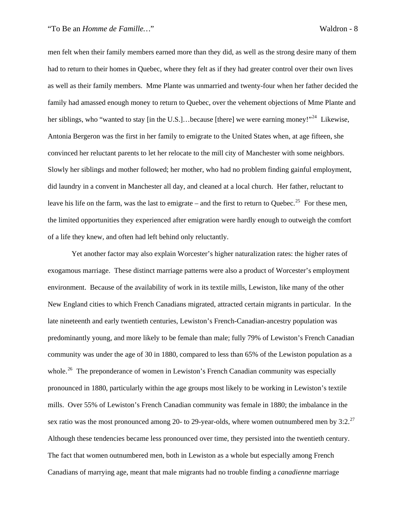men felt when their family members earned more than they did, as well as the strong desire many of them had to return to their homes in Quebec, where they felt as if they had greater control over their own lives as well as their family members. Mme Plante was unmarried and twenty-four when her father decided the family had amassed enough money to return to Quebec, over the vehement objections of Mme Plante and her siblings, who "wanted to stay [in the U.S.]...because [there] we were earning money!"<sup>[24](#page-12-1)</sup> Likewise, Antonia Bergeron was the first in her family to emigrate to the United States when, at age fifteen, she convinced her reluctant parents to let her relocate to the mill city of Manchester with some neighbors. Slowly her siblings and mother followed; her mother, who had no problem finding gainful employment, did laundry in a convent in Manchester all day, and cleaned at a local church. Her father, reluctant to leave his life on the farm, was the last to emigrate – and the first to return to Quebec.<sup>[25](#page-12-1)</sup> For these men, the limited opportunities they experienced after emigration were hardly enough to outweigh the comfort of a life they knew, and often had left behind only reluctantly.

 Yet another factor may also explain Worcester's higher naturalization rates: the higher rates of exogamous marriage. These distinct marriage patterns were also a product of Worcester's employment environment. Because of the availability of work in its textile mills, Lewiston, like many of the other New England cities to which French Canadians migrated, attracted certain migrants in particular. In the late nineteenth and early twentieth centuries, Lewiston's French-Canadian-ancestry population was predominantly young, and more likely to be female than male; fully 79% of Lewiston's French Canadian community was under the age of 30 in 1880, compared to less than 65% of the Lewiston population as a whole.<sup>[26](#page-12-1)</sup> The preponderance of women in Lewiston's French Canadian community was especially pronounced in 1880, particularly within the age groups most likely to be working in Lewiston's textile mills. Over 55% of Lewiston's French Canadian community was female in 1880; the imbalance in the sex ratio was the most pronounced among 20- to 29-year-olds, where women outnumbered men by  $3:2.^{27}$  $3:2.^{27}$  $3:2.^{27}$ Although these tendencies became less pronounced over time, they persisted into the twentieth century. The fact that women outnumbered men, both in Lewiston as a whole but especially among French Canadians of marrying age, meant that male migrants had no trouble finding a *canadienne* marriage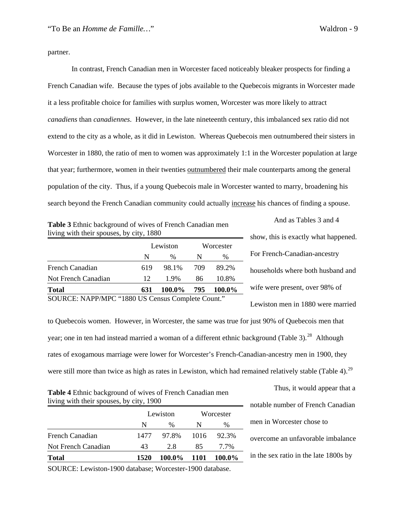partner.

In contrast, French Canadian men in Worcester faced noticeably bleaker prospects for finding a French Canadian wife. Because the types of jobs available to the Quebecois migrants in Worcester made it a less profitable choice for families with surplus women, Worcester was more likely to attract *canadiens* than *canadiennes*. However, in the late nineteenth century, this imbalanced sex ratio did not extend to the city as a whole, as it did in Lewiston. Whereas Quebecois men outnumbered their sisters in Worcester in 1880, the ratio of men to women was approximately 1:1 in the Worcester population at large that year; furthermore, women in their twenties outnumbered their male counterparts among the general population of the city. Thus, if a young Quebecois male in Worcester wanted to marry, broadening his search beyond the French Canadian community could actually increase his chances of finding a spouse.

**Table 3** Ethnic background of wives of French Canadian men living with their spouses, by city, 1880

|                     |     | Lewiston |     | Worcester |  |
|---------------------|-----|----------|-----|-----------|--|
|                     | N   | %        | N   | %         |  |
| French Canadian     | 619 | 98.1%    | 709 | 89.2%     |  |
| Not French Canadian | 12  | 1.9%     | 86  | 10.8%     |  |
| <b>Total</b>        | 631 | 100.0%   | 795 | $100.0\%$ |  |

show, this is exactly what happened. For French-Canadian-ancestry households where both husband and wife were present, over 98% of Lewiston men in 1880 were married

And as Tables 3 and 4

to Quebecois women. However, in Worcester, the same was true for just 90% of Quebecois men that year; one in ten had instead married a woman of a different ethnic background (Table 3).<sup>[28](#page-12-1)</sup> Although rates of exogamous marriage were lower for Worcester's French-Canadian-ancestry men in 1900, they were still more than twice as high as rates in Lewiston, which had remained relatively stable (Table 4).<sup>[29](#page-12-1)</sup>

| <b>Table 4</b> Ethnic background of wives of French Canadian men |
|------------------------------------------------------------------|
| living with their spouses, by city, 1900                         |

| <b>Total</b>        | 1520 | 100.0%   | - 1101 | 100.0%    |
|---------------------|------|----------|--------|-----------|
| Not French Canadian | 43   | 2.8      | 85     | 7.7%      |
| French Canadian     | 1477 | 97.8%    | 1016   | 92.3%     |
|                     | N    | %        | N      | %         |
|                     |      | Lewiston |        | Worcester |

Thus, it would appear that a notable number of French Canadian men in Worcester chose to overcome an unfavorable imbalance in the sex ratio in the late 1800s by

SOURCE: Lewiston-1900 database; Worcester-1900 database.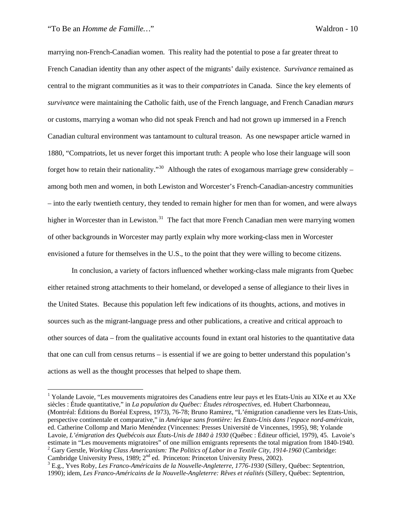$\overline{a}$ 

marrying non-French-Canadian women. This reality had the potential to pose a far greater threat to French Canadian identity than any other aspect of the migrants' daily existence. *Survivance* remained as central to the migrant communities as it was to their *compatriotes* in Canada. Since the key elements of *survivance* were maintaining the Catholic faith, use of the French language, and French Canadian *mœurs* or customs, marrying a woman who did not speak French and had not grown up immersed in a French Canadian cultural environment was tantamount to cultural treason. As one newspaper article warned in 1880, "Compatriots, let us never forget this important truth: A people who lose their language will soon forget how to retain their nationality."<sup>[30](#page-12-1)</sup> Although the rates of exogamous marriage grew considerably – among both men and women, in both Lewiston and Worcester's French-Canadian-ancestry communities – into the early twentieth century, they tended to remain higher for men than for women, and were always higher in Worcester than in Lewiston.<sup>[31](#page-12-2)</sup> The fact that more French Canadian men were marrying women of other backgrounds in Worcester may partly explain why more working-class men in Worcester envisioned a future for themselves in the U.S., to the point that they were willing to become citizens.

In conclusion, a variety of factors influenced whether working-class male migrants from Quebec either retained strong attachments to their homeland, or developed a sense of allegiance to their lives in the United States. Because this population left few indications of its thoughts, actions, and motives in sources such as the migrant-language press and other publications, a creative and critical approach to other sources of data – from the qualitative accounts found in extant oral histories to the quantitative data that one can cull from census returns – is essential if we are going to better understand this population's actions as well as the thought processes that helped to shape them.

<sup>&</sup>lt;sup>1</sup> Yolande Lavoie, "Les mouvements migratoires des Canadiens entre leur pays et les Etats-Unis au XIXe et au XXe siècles : Étude quantitative," in *La population du Québec: Études rétrospectives,* ed. Hubert Charbonneau, (Montréal: Éditions du Boréal Express, 1973), 76-78; Bruno Ramirez, "L'émigration canadienne vers les Etats-Unis, perspective continentale et comparative," in *Amérique sans frontière: les Etats-Unis dans l'espace nord-américain*, ed. Catherine Collomp and Mario Menéndez (Vincennes: Presses Université de Vincennes, 1995), 98; Yolande Lavoie, *L'émigration des Québécois aux États-Unis de 1840 à 1930* (Québec : Éditeur officiel, 1979), 45. Lavoie's estimate in "Les mouvements migratoires" of one million emigrants represents the total migration from 1840-1940. <sup>2</sup> Gary Gerstle, *Working Class Americanism: The Politics of Labor in a Textile City, 1914-1960* (Cambridge: Cambridge University Press, 1989; 2<sup>nd</sup> ed. Princeton: Princeton University Press, 2002).

E.g., Yves Roby, *Les Franco-Américains de la Nouvelle-Angleterre, 1776-1930* (Sillery, Québec: Septentrion, 1990); idem, *Les Franco-Américains de la Nouvelle-Angleterre: Rêves et réalités* (Sillery, Québec: Septentrion,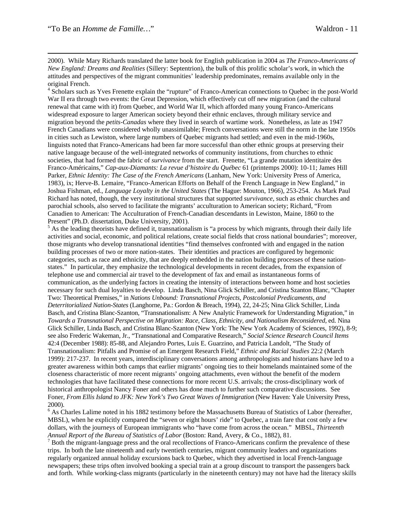<sup>4</sup> Scholars such as Yves Frenette explain the "rupture" of Franco-American connections to Quebec in the post-World War II era through two events: the Great Depression, which effectively cut off new migration (and the cultural renewal that came with it) from Quebec, and World War II, which afforded many young Franco-Americans widespread exposure to larger American society beyond their ethnic enclaves, through military service and migration beyond the *petits-Canadas* where they lived in search of wartime work. Nonetheless, as late as 1947 French Canadians were considered wholly unassimilable; French conversations were still the norm in the late 1950s in cities such as Lewiston, where large numbers of Quebec migrants had settled; and even in the mid-1960s, linguists noted that Franco-Americans had been far more successful than other ethnic groups at preserving their native language because of the well-integrated networks of community institutions, from churches to ethnic societies, that had formed the fabric of *survivance* from the start. Frenette, "La grande mutation identitaire des Franco-Américains," *Cap-aux-Diamants: La revue d'histoire du Québec* 61 (printemps 2000): 10-11; James Hill Parker, *Ethnic Identity: The Case of the French Americans* (Lanham, New York: University Press of America, 1983), ix; Herve-B. Lemaire, "Franco-American Efforts on Behalf of the French Language in New England," in Joshua Fishman, ed., *Language Loyalty in the United States* (The Hague: Mouton, 1966), 253-254. As Mark Paul Richard has noted, though, the very institutional structures that supported *survivance*, such as ethnic churches and parochial schools, also served to facilitate the migrants' acculturation to American society; Richard, "From Canadien to American: The Acculturation of French-Canadian descendants in Lewiston, Maine, 1860 to the Present" (Ph.D. dissertation, Duke University, 2001).

 $<sup>5</sup>$  As the leading theorists have defined it, transnationalism is "a process by which migrants, through their daily life</sup> activities and social, economic, and political relations, create social fields that cross national boundaries"; moreover, those migrants who develop transnational identities "find themselves confronted with and engaged in the nation building processes of two or more nation-states. Their identities and practices are configured by hegemonic categories, such as race and ethnicity, that are deeply embedded in the nation building processes of these nationstates." In particular, they emphasize the technological developments in recent decades, from the expansion of telephone use and commercial air travel to the development of fax and email as instantaneous forms of communication, as the underlying factors in creating the intensity of interactions between home and host societies necessary for such dual loyalties to develop. Linda Basch, Nina Glick Schiller, and Cristina Szanton Blanc, "Chapter Two: Theoretical Premises," in *Nations Unbound: Transnational Projects, Postcolonial Predicaments, and Deterritorialized Nation-States* (Langhorne, Pa.: Gordon & Breach, 1994), 22, 24-25; Nina Glick Schiller, Linda Basch, and Cristina Blanc-Szanton, "Transnationalism: A New Analytic Framework for Understanding Migration," in *Towards a Transnational Perspective on Migration: Race, Class, Ethnicity, and Nationalism Reconsidered*, ed. Nina Glick Schiller, Linda Basch, and Cristina Blanc-Szanton (New York: The New York Academy of Sciences, 1992), 8-9; see also Frederic Wakeman, Jr., "Transnational and Comparative Research," *Social Science Research Council Items* 42:4 (December 1988): 85-88, and Alejandro Portes, Luis E. Guarzino, and Patricia Landolt, "The Study of Transnationalism: Pitfalls and Promise of an Emergent Research Field," *Ethnic and Racial Studies* 22:2 (March 1999): 217-237. In recent years, interdisciplinary conversations among anthropologists and historians have led to a greater awareness within both camps that earlier migrants' ongoing ties to their homelands maintained some of the closeness characteristic of more recent migrants' ongoing attachments, even without the benefit of the modern technologies that have facilitated these connections for more recent U.S. arrivals; the cross-disciplinary work of historical anthropologist Nancy Foner and others has done much to further such comparative discussions. See Foner, *From Ellis Island to JFK: New York's Two Great Waves of Immigration* (New Haven: Yale University Press, 2000).

<sup>6</sup> As Charles Lalime noted in his 1882 testimony before the Massachusetts Bureau of Statistics of Labor (hereafter, MBSL), when he explicitly compared the "seven or eight hours' ride" to Quebec, a train fare that cost only a few dollars, with the journeys of European immigrants who "have come from across the ocean." MBSL, *Thirteenth Annual Report of the Bureau of Statistics of Labor* (Boston: Rand, Avery, & Co., 1882), 81. 7

 $\frac{1}{2}$  Both the migrant-language press and the oral recollections of Franco-Americans confirm the prevalence of these trips. In both the late nineteenth and early twentieth centuries, migrant community leaders and organizations regularly organized annual holiday excursions back to Quebec, which they advertised in local French-language newspapers; these trips often involved booking a special train at a group discount to transport the passengers back and forth. While working-class migrants (particularly in the nineteenth century) may not have had the literacy skills

 <sup>2000).</sup> While Mary Richards translated the latter book for English publication in 2004 as *The Franco-Americans of New England: Dreams and Realities* (Sillery: Septentrion), the bulk of this prolific scholar's work, in which the attitudes and perspectives of the migrant communities' leadership predominates, remains available only in the original French.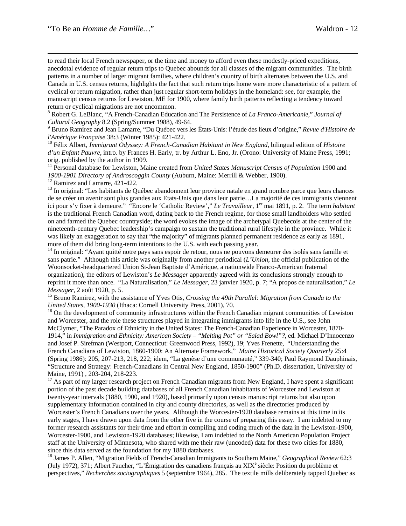to read their local French newspaper, or the time and money to afford even these modestly-priced expeditions, anecdotal evidence of regular return trips to Quebec abounds for all classes of the migrant communities. The birth patterns in a number of larger migrant families, where children's country of birth alternates between the U.S. and Canada in U.S. census returns, highlights the fact that such return trips home were more characteristic of a pattern of cyclical or return migration, rather than just regular short-term holidays in the homeland: see, for example, the manuscript census returns for Lewiston, ME for 1900, where family birth patterns reflecting a tendency toward return or cyclical migrations are not uncommon.

 Robert G. LeBlanc, "A French-Canadian Education and The Persistence of *La Franco-Americanie*," *Journal of Cultural Geography* 8.2 (Spring/Summer 1988), 49-64.

Bruno Ramirez and Jean Lamarre, "Du Québec vers les États-Unis: l'étude des lieux d'origine," *Revue d'Histoire de* 

<sup>10</sup> Félix Albert, *Immigrant Odyssey: A French-Canadian Habitant in New England*, bilingual edition of *Histoire d'un Enfant Pauvre*, intro. by Frances H. Early, tr. by Arthur L. Eno, Jr. (Orono: University of Maine Press, 1991; orig. published by the author in 1909.11 Personal database for Lewiston, Maine created from *United States Manuscript Census of Population* 1900 and

*1900-1901 Directory of Androscoggin County* (Auburn, Maine: Merrill & Webber, 1900). 12 Ramirez and Lamarre, 421-422.

<sup>13</sup> In original: "Les habitants de Québec abandonnent leur province natale en grand nombre parce que leurs chances de se créer un avenir sont plus grandes aux Etats-Unis que dans leur patrie…La majorité de ces immigrants viennent ici pour s'y fixer à demeure." "Encore le 'Catholic Review'," *Le Travailleur,* 1er mai 1891, p. 2. The term *habitant* is the traditional French Canadian word, dating back to the French regime, for those small landholders who settled on and farmed the Quebec countryside; the word evokes the image of the archetypal Quebecois at the center of the nineteenth-century Quebec leadership's campaign to sustain the traditional rural lifestyle in the province. While it was likely an exaggeration to say that "the majority" of migrants planned permanent residence as early as 1891, more of them did bring long-term intentions to the U.S. with each passing year.

<sup>14</sup> In original: "Ayant quitté notre pays sans espoir de retour, nous ne pouvons demeurer des isolés sans famille et sans patrie." Although this article was originally from another periodical (*L'Union*, the official publication of the Woonsocket-headquartered Union St-Jean Baptiste d'Amérique, a nationwide Franco-American fraternal organization), the editors of Lewiston's *Le Messager* apparently agreed with its conclusions strongly enough to reprint it more than once. "La Naturalisation," *Le Messager*, 23 janvier 1920, p. 7; "A propos de naturalisation," *Le Messager*, 2 août 1920, p. 5.<br><sup>15</sup> Bruno Ramirez, with the assistance of Yves Otis, *Crossing the 49th Parallel: Migration from Canada to the* 

*United States, 1900-1930* (Ithaca: Cornell University Press, 2001), 70.<br><sup>16</sup> On the development of community infrastructures within the French Canadian migrant communities of Lewiston

and Worcester, and the role these structures played in integrating immigrants into life in the U.S., see John McClymer, "The Paradox of Ethnicity in the United States: The French-Canadian Experience in Worcester, 1870- 1914," in *Immigration and Ethnicity: American Society – "Melting Pot" or "Salad Bowl"?*, ed. Michael D'Innocenzo and Josef P. Sirefman (Westport, Connecticut: Greenwood Press, 1992), 19; Yves Frenette, "Understanding the French Canadians of Lewiston, 1860-1900: An Alternate Framework," *Maine Historical Society Quarterly* 25:4 (Spring 1986): 205, 207-213, 218, 222; idem, "La genèse d'une communauté," 339-340; Paul Raymond Dauphinais, "Structure and Strategy: French-Canadians in Central New England, 1850-1900" (Ph.D. dissertation, University of Maine, 1991) , 203-204, 218-223.

 $17$  As part of my larger research project on French Canadian migrants from New England, I have spent a significant portion of the past decade building databases of all French Canadian inhabitants of Worcester and Lewiston at twenty-year intervals (1880, 1900, and 1920), based primarily upon census manuscript returns but also upon supplementary information contained in city and county directories, as well as the directories produced by Worcester's French Canadians over the years. Although the Worcester-1920 database remains at this time in its early stages, I have drawn upon data from the other five in the course of preparing this essay. I am indebted to my former research assistants for their time and effort in compiling and coding much of the data in the Lewiston-1900, Worcester-1900, and Lewiston-1920 databases; likewise, I am indebted to the North American Population Project staff at the University of Minnesota, who shared with me their raw (uncoded) data for these two cities for 1880, since this data served as the foundation for my 1880 databases.

18 James P. Allen, "Migration Fields of French-Canadian Immigrants to Southern Maine," *Geographical Review* 62:3 (July 1972), 371; Albert Faucher, "L'Émigration des canadiens français au XIX<sup>e</sup> siècle: Position du problème et perspectives," *Recherches sociographiques* 5 (septembre 1964), 285. The textile mills deliberately tapped Quebec as